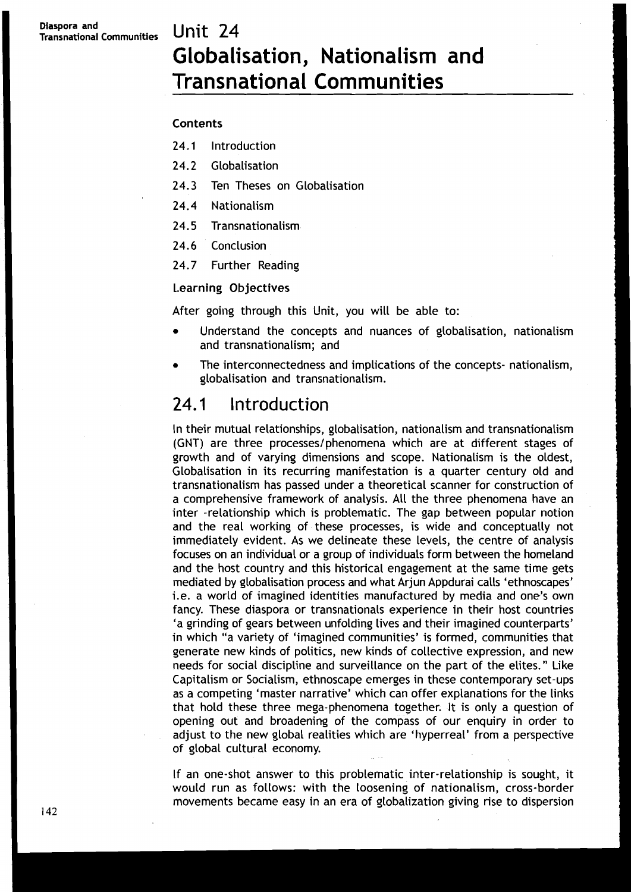# **Globalisation, Nationalism and Transnational Communities**

#### Contents

- **24.1** Introduction
- **24.2** Globalisation
- **24.3** Ten Theses on Globalisation
- **24.4** Nationalism
- **24.5** Transnationalism
- **24.6** Conclusion
- **24.7** Further Reading

#### Learning Objectives

After going through this Unit, you will be able to:

- Understand the concepts and nuances of globalisation, nationalism and transnationalism; and
- The interconnectedness and implications of the concepts- nationalism,  $\bullet$ globalisation and transnationalism.

#### 24.1 Introduction

In their mutual relationships, globalisation, nationalism and transnationalism (GNT) are three processes/phenomena which are at different stages of growth and of varying dimensions and scope. Nationalism is the oldest, Globalisation in its recurring manifestation is a quarter century old and transnationalism has passed under a theoretical scanner for construction of a comprehensive framework of analysis. All the three phenomena have an inter -relationship which is problematic. The gap between popular notion and the real working of these processes, is wide and conceptually not immediately evident. As we delineate these levels, the centre of analysis focuses on an individual or a group of individuals form between the homeland and the host country and this historical engagement at the same time gets mediated by globalisation process and what Arjun Appdurai calls 'ethnoscapes' i.e. a world of imagined identities manufactured by media and one's own fancy. These diaspora or transnationals experience in their host countries 'a grinding of gears between unfolding lives and their imagined counterparts' in which "a variety of 'imagined communities' is formed, communities that generate new kinds of politics, new kinds of collective expression, and new needs for social discipline and surveillance on the part of the elites." Like Capitalism or Socialism, ethnoscape emerges in these contemporary set-ups as a competing 'master narrative' which can offer explanations for the links that hold these three mega-phenomena together. It is only a question of opening out and broadening of the compass of our enquiry in order to adjust to the new global realities which are 'hyperreal' from a perspective of global cultural economy.

If an one-shot answer to this problematic inter-relationship is sought, it would run as follows: with the loosening of nationalism, cross-border movements became easy in an era of globalization giving rise to dispersion 142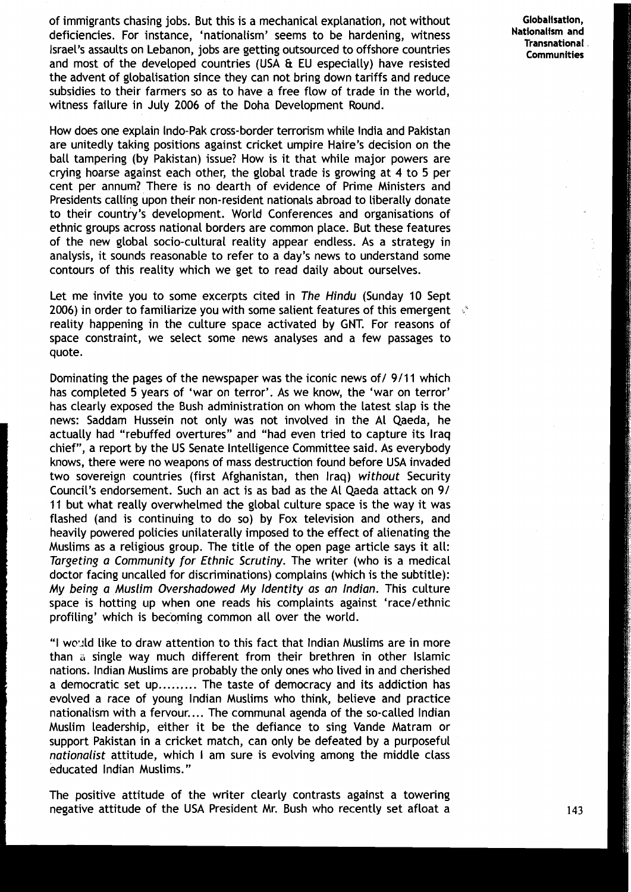of immigrants chasing jobs. But this is a mechanical explanation, not without deficiencies. For instance, 'nationalism' seems to be hardening, witness **Nationalism and**  Israel's assaults on Lebanon, jobs are getting outsourced to offshore countries and most of the developed countries (USA **Et** EU especially) have resisted the advent of globalisation since they can not bring down tariffs and reduce subsidies to their farmers so as to have a free flow of trade in the world, witness failure in July 2006 of the Doha Development Round.

How does one explain Indo-Pak cross-border terrorism while India and Pakistan are unitedly taking positions against cricket umpire Haire's decision on the ball tampering (by Pakistan) issue? How is it that while major powers are crying hoarse against each other, the global trade is growing at 4 to 5 per cent per annum? There is no dearth of evidence of Prime Ministers and Presidents calling upon their non-resident nationals abroad to liberally donate to their country's development. World Conferences and organisations of ethnic groups across national borders are common place. But these features of the new global socio-cultural reality appear endless. As a strategy in analysis, it sounds reasonable to refer to a day's news to understand some contours of this reality which we get to read daily about ourselves.

Let me invite you to some excerpts cited in **The Hindu** (Sunday 10 Sept 2006) in order to familiarize you with some salient features of this emergent ,' reality happening in the culture space activated by GNT. For reasons of space constraint, we select some news analyses and a few passages to quote.

Dominating the pages of the newspaper was the iconic news of / 9/11 which has completed 5 years of 'war on terror'. As we know, the 'war on terror' has clearly exposed the Bush administration on whom the latest slap is the news: Saddam Hussein not only was not involved in the A1 Qaeda, he actually had "rebuffed overtures" and "had even tried to capture its Iraq chief", a report by the US Senate Intelligence Committee said. As everybody knows, there were no weapons of mass destruction found before USA invaded two sovereign countries (first Afghanistan, then Iraq) **without** Security Council's endorsement. Such an act is as bad as the A1 Qaeda attack on 91 11 but what really overwhelmed the global culture space is the way it was flashed (and is continuing to do so) by Fox television and others, and heavily powered policies unilaterally imposed to the effect of alienating the Muslims as a religious group. The title of the open page article says it all: **Targeting a Community for Ethnic Scrutiny.** The writer (who is a medical doctor facing uncalled for discriminations) complains (which is the subtitle): **My being a Muslim Overshadowed My Identity as an Indian.** This culture space is hotting up when one reads his complaints against 'race/ethnic profiling' which is becoming common all over the world.

"I wo~ld like to draw attention to this fact that lndian Muslims are in more than a single way much different from their brethren in other Islamic nations. lndian Muslims are probably the only ones who lived in and cherished a democratic set up......... The taste of democracy and its addiction has evolved a race of young lndian Muslims who think, believe and practice nationalism with a fervour.... The communal agenda of the so-called Indian Muslim leadership, either it be the defiance to sing Vande Matram or support Pakistan in a cricket match, can only be defeated by a purposeful **nationalist** attitude, which I am sure is evolving among the middle class educated lndian Muslims."

The positive attitude of the writer clearly contrasts against a towering negative attitude of the USA President Mr. Bush who recently set afloat a Globalisation. **Communities**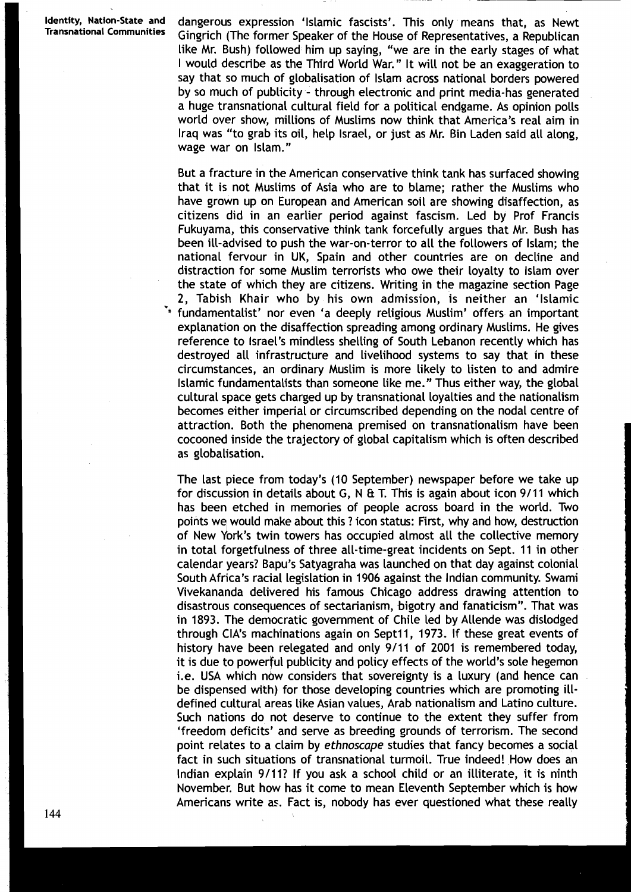Identity, Nation-State and dangerous expression 'Islamic fascists'. This only means that, as Newt<br>Transnational Communities Gingrich (The former Spoaker of the House of Pencesontatives a Bopublican Gingrich (The former Speaker of the House of Representatives, a Republican like Mr. Bush) followed him up saying, "we are in the early stages of what I would describe as the Third World War. " It will not be an exaggeration to say that so much of globalisation of lslam across national borders powered by so much of publicity - through electronic and print media-has generated a huge transnational cultural field for a political endgame. As opinion polls world over show, millions of Muslims now think that America's real aim in Iraq was "to grab its oil, help Israel, or just as Mr. Bin Laden said all along, wage war on Islam."

> But a fracture in the American conservative think tank has surfaced showing that it is not Muslims of Asia who are to blame; rather the Muslims who have grown up on European and American soil are showing disaffection, as citizens did in an earlier period against fascism. Led by Prof Francis Fukuyama, this conservative think tank forcefully argues that Mr. Bush has been ill-advised to push the war-on-terror to all the followers of Islam; the national fervour in UK, Spain and other countries are on decline and distraction for some Muslim terrorists who owe their loyalty to lslam over the state of which they are citizens. Writing in the magazine section Page 2, Tabish Khair who by his own admission, is neither an 'Islamic \*"fundamentalist' nor even 'a deeply religious Muslim' offers an important explanation on the disaffection spreading among ordinary Muslims. He gives reference to Israel's mindless shelling of South Lebanon recently which has destroyed all infrastructure and livelihood systems to say that in these circumstances, an ordinary Muslim is more likely to listen to and admire Islamic fundamentalists than someone like me." Thus either way, the global cultural space gets charged up by transnational loyalties and the nationalism becomes either imperial or circumscribed depending on the nodal centre of attraction. Both the phenomena premised on transnationalism have been cocooned inside the trajectory of global capitalism which is often described as globalisation.

The last piece from today's (10 September) newspaper before we take up for discussion in details about G, N **8** T. This is again about icon 911 1 which has been etched in memories of people across board in the world. Two points we would make about this ? icon status: First, why and how, destruction of New dork's twin towers has occupied almost all the collective memory in total forgetfulness of three all-time-great incidents on Sept. 11 in other calendar years? Bapu's Satyagraha was launched on that day against colonial South Africa's racial legislation in 1906 against the Indian community. Swami Vivekananda delivered his famous Chicago address drawing attention to disastrous consequences of sectarianism, bigotry and fanaticism". That was in 1893. The democratic government of Chile led by Allende was dislodged through CIA's machinations again on Sept11, 1973. If these great events of history have been relegated and only 9/11 of 2001 is remembered today, it is due to powerful publicity and policy effects of the world's sole hegemon i.e. USA which nbw considers that sovereignty is a luxury (and hence can be dispensed with) for those developing countries which are promoting illdefined cultural areas like Asian values, Arab nationalism and Latino culture. Such nations do not deserve to continue to the extent they suffer from 'freedom deficits' and serve as breeding grounds of terrorism. The second point relates to a claim by ethnoscape studies that fancy becomes a social fact in such situations of transnational turmoil. True indeed! How does an Indian explain 9/11? If you ask a school child or an illiterate, it is ninth November. But how has it come to mean Eleventh September which is how Americans write as. Fact is, nobody has ever questioned what these really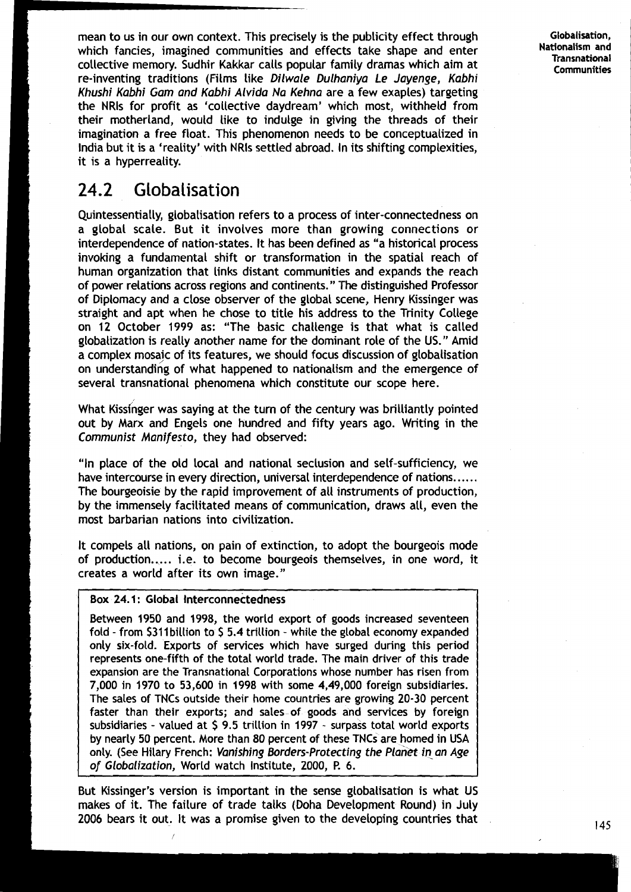mean to us in our own context. This precisely is the publicity effect through which fancies, imagined communities and effects take shape and enter collective memory. Sudhir Kakkar calls popular family dramas which aim at re-inventing traditions (Films like Dilwale Dulhaniya Le Jayenge, Kabhi Khushi Kabhi Gam and Kabhi Alvida Na Kehna are a few exaples) targeting the NRls for profit as 'collective daydream' which most, withheld from their motherland, would like to indulge in giving the threads of their imagination a free float. This phenomenon needs to be conceptualized in India but it is a 'reality' with NRls settled abroad. In its shifting complexities, it is a hyperreality.

## **24.2 Globalisation**

Quintessentially, globalisation refers to a process of inter-connectedness on a global scale. But it involves more than growing connections or interdependence of nation-states. It has been defined as "a historical process invoking a fundamental shift or transformation in the spatial reach of human organization that links distant communities and expands the reach of power relations across regions and continents. " The distinguished Professor of Diplomacy and a close observer of the global scene, Henry Kissinger was straight and apt when he chose to title his address to the Trinity College on 12 October 1999 as: "The basic challenge is that what is called globalization is really another name for the dominant role of the US." Amid a complex mosaic of its features, we should focus discussion of globalisation on understanding of what happened to nationalism and the emergence of several transnational phenomena which constitute our scope here.

What Kissinger was saying at the turn of the century was brilliantly pointed out by Marx and Engels one hundred and fifty years ago. Writing in the Communist Manifesto, they had observed:

"In place of the old local and national seclusion and self-sufficiency, we have intercourse in every direction, universal interdependence of nations......<br>The bourgeoisie by the rapid improvement of all instruments of production, by the immensely facilitated means of communication, draws all, even the most barbarian nations into civilization.

It compels all nations, on pain of extinction, to adopt the bourgeois mode of production..... i.e. to become bourgeois themselves, in one word, it creates a world after its own image."

#### Box 24.1: Global Interconnectedness

I

Between 1950 and 1998, the world export of goods increased seventeen fold - from \$311 billion to \$5.4 trillion - while the global economy expanded only six-fold. Exports of services which have surged during this period represents one-fifth of the total world trade. The main driver of this trade expansion are the Transnational Corporations whose number has risen from 7,000 in 1970 to 53,600 in 1998 with some 4,49,000 foreign subsidiaries. The sales of TNCs outside their home countries are growing 20-30 percent faster than their exports; and sales-of goods and services by foreign subsidiaries - valued at \$ 9.5 trillion in 1997 - surpass total world exports by nearly 50 percent. More than 80 percent of these TNCs are homed in USA only. (See Hilary French: Vanishing Borders-Protecting the Planet in an Age of Globalization, World watch Institute, 2000, **R** 6.

But Kissinger's version is important in the sense globalisation is what US makes of it. The failure of trade talks (Doha Development Round) in July 2006 bears it out. It was a promise given to the developing countries that **145** 

**Globalisation, Nationalism and Transnational Communities**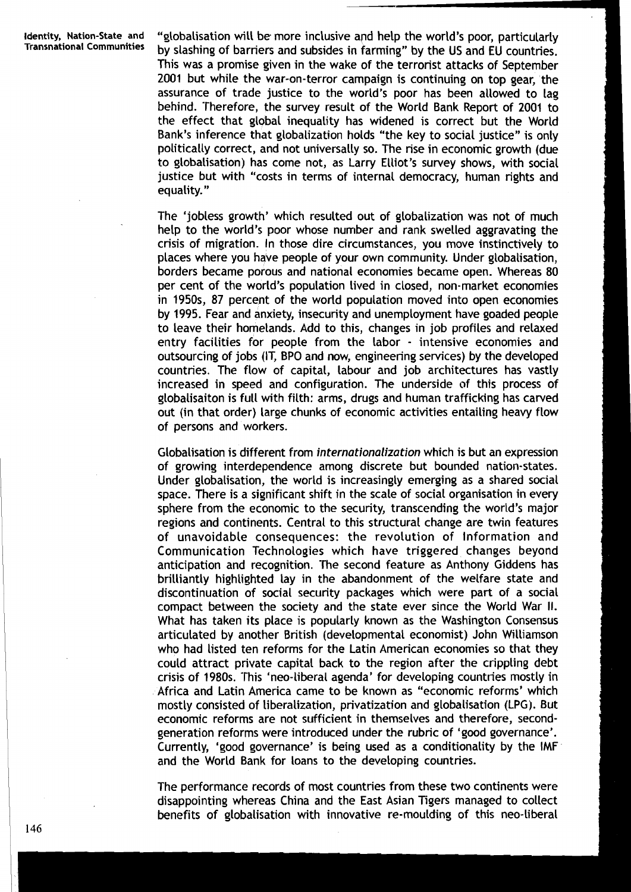Identity, Nation-State and "globalisation will be more inclusive and help the world's poor, particularly Transnational Communities by slashing of barriers and subsides in farming" by the US and EU countries. This was a promise given in the wake of the terrorist attacks of September 2001 but while the war-on-terror campaign is continuing on top gear, the assurance of trade justice to the world's poor has been allowed to lag behind. Therefore, the survey result of the World Bank Report of 2001 to the effect that global inequality has widened is correct but the World Bank's inference that globalization holds "the key to social justice" is only politically correct, and not universally so. The rise in economic growth (due to globalisation) has come not, as Larry Elliot's survey shows, with social justice but with "costs in terms of internal democracy, human rights and equality. "

> The 'jobless growth' which resulted out of globalization was not of much help to the world's poor whose number and rank swelled aggravating the crisis of migration. In those dire circumstances, you move instinctively to places where you have people of your own community. Under globalisation, borders became porous and national economies became open. Whereas 80 per cent of the world's population lived in closed, non-market economies in 1950s, 87 percent of the world population moved into open economies by 1995. Fear and anxiety, insecurity and unemployment have goaded people to leave their homelands. Add to this, changes in job profiles and relaxed entry facilities for people from the labor - intensive economies and outsourcing of jobs (IT, **BPO** and now, engineering services) by the developed countries. The flow of capital, labour and job architectures has vastly increased in speed and configuration. The underside of this process of globalisaiton is full with filth: arms, drugs and human trafficking has carved out (in that order) large chunks of economic activities entailing heavy flow of persons and workers.

> Globalisation is different from **internationalization** which is but an expression of growing interdependence among discrete but bounded nation-states. Under globalisation, the world is increasingly emerging as a shared social space. There is a significant shift in the scale of social organisation in every sphere from the economic to the security, transcending the world's major regions and continents. Central to this structural change are twin features of unavoidable consequences: the revolution of Information and Communication Technologies which have triggered changes beyond anticipation and recognition. The second feature as Anthony Giddens has brilliantly highlighted lay in the abandonment of the welfare state and discontinuation of social security packages which were part of a social compact between the society and the state ever since the World War II. What has taken its place is popularly known as the Washington Consensus articulated by another British (developmental economist) John Williamson who had listed ten reforms for the Latin American economies so that they could attract private capital back to the region after the crippling debt crisis of 1980s. This 'neo-liberal agenda' for developing countries mostly in Africa and Latin America came to be known as "economic reforms' which mostly consisted of liberalization, privatization and globalisation **(LPG).** But economic reforms are not sufficient in themselves and therefore, secondgeneration reforms were introduced under the rubric of 'good governance'. Currently, 'good governance' is being used as a conditionality by the IMF and the World Bank for loans to the developing countries.

> The performance records of most countries from these two continents were disappointing whereas China and the East Asian Tigers managed to collect benefits of globalisation with innovative re-moulding of this neo-liberal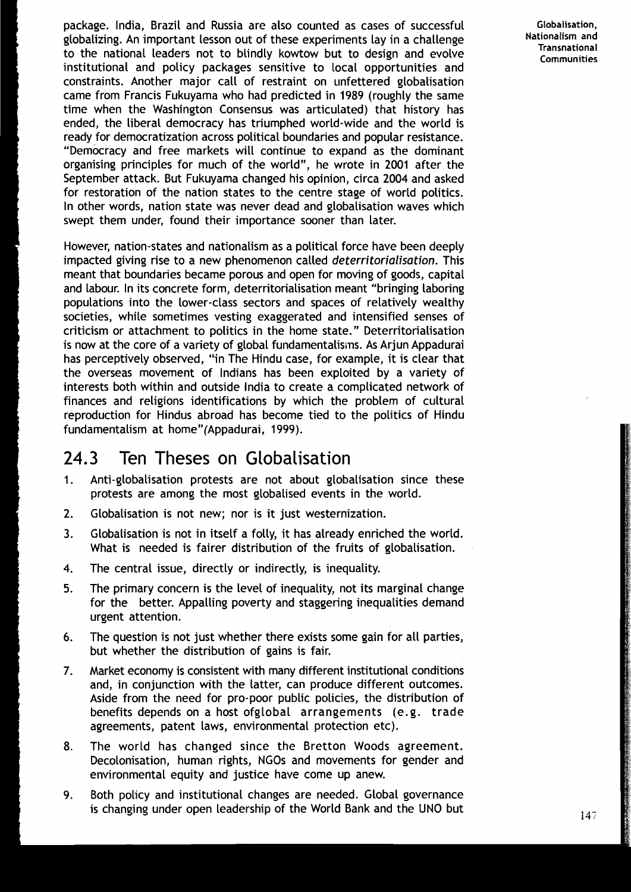package. India, Brazil and Russia are also counted as cases of successful globalizing. An important lesson out of these experiments lay in a challenge to the national leaders not to blindly kowtow but to design and evolve institutional and policy packages sensitive to local opportunities and constraints. Another major call of restraint on unfettered globalisation came from Francis Fukuyama who had predicted in 1989 (roughly the same time when the Washington Consensus was articulated) that history has ended, the liberal democracy has triumphed world-wide and the world is , ready for democratization across political boundaries and popular resistance. "Democracy and free markets will continue to expand as the dominant organising principles for much of the world", he wrote in 2001 after the September attack. But Fukuyama changed his opinion, circa 2004 and asked for restoration of the nation states to the centre stage of world politics. In other words, nation state was never dead and globalisation waves which swept them under, found their importance sooner than later.

**<sup>k</sup>**However, nation-states and nationalism as a political force have been deeply impacted giving rise to a new phenomenon called *deterritorialisation*. This meant that boundaries became porous and open for moving of goods, capital and labour. In its concrete form, deterritorialisation meant "bringing laboring populations into the lower-class sectors and spaces of relatively wealthy societies, while sometimes vesting exaggerated and intensified senses of **<sup>I</sup>**criticism or attachment to politics in the home state." Deterritorialisation is now at the core of a variety of global fundamentalisms. As Arjun Appadurai has perceptively observed, "in The Hindu case, for example, it is clear that the overseas movement of Indians has been exploited by a variety of interests both within and outside India to create a complicated network of finances and religions identifications by which the problem of cultural reproduction for Hindus abroad has become tied to the politics of Hindu fundamentalism at home"(Appadurai, 1999).

## 24.3 Ten Theses on Globalisation

- 1. Anti-globalisation protests are not about globalisation since these protests are among the most globalised events in the world.
- 2. Globalisation is not new; nor is it just westernization.
- **3.** Globalisation is not in itself a folly, it has already enriched the world. What is needed is fairer distribution of the fruits of globalisation.
- 4. The central issue, directly or indirectly, is inequality.
- **5.** The primary concern is the level of inequality, not its marginal change for the better. Appalling poverty and staggering inequalities demand urgent attention.
- **6.** The question is not just whether there exists some gain for all parties, but whether the distribution of gains is fair.
- **7.** Market economy is consistent with many different institutional conditions and, in conjunction with the latter, can produce different outcomes. Aside from the need for pro-poor public policies, the distribution of benefits depends on a host ofglobal arrangements (e.g. trade agreements, patent laws, environmental protection etc).
- 8. The world has changed since the Bretton Woods agreement. Decolonisation, human rights, NGOs and movements for gender and environmental equity and justice have come up anew.
- 9. Both policy and institutional changes are needed. Global governance is changing under open leadership of the World Bank and the UNO but

Globalisation, Nationalism and Transnational **Communities**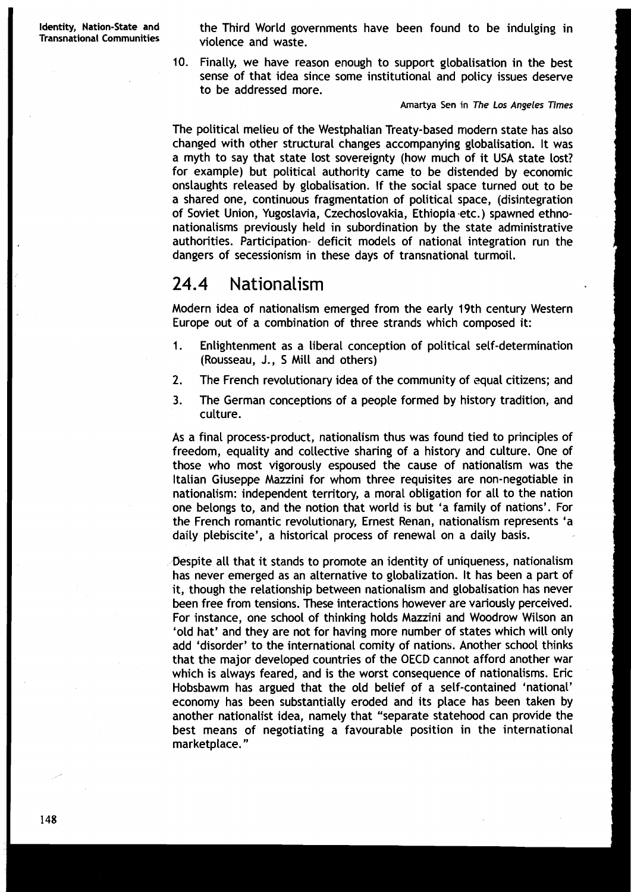Identity, Nation-State and **the Third World governments have been found to be indulging in**<br>Transnational Communities **induced and waste** violence and waste.

> 10. Finally, we have reason enough to support globalisation in the best sense of that idea since some institutional and policy issues deserve to be addressed more.

> > **Amartya Sen in The Los Angeles Times**

The political melieu of the Westphalian Treaty-based modern state has also changed with other structural changes accompanying globalisation. It was a myth to say that state lost sovereignty (how much of it USA state lost? for example) but political authority came to be distended by economic onslaughts released by globalisation. If the social space turned out to be a shared one, continuous fragmentation of political space, (disintegration of Soviet Union, Yugoslavia, Czechoslovakia, Ethiopia.etc.) spawned ethnonationalisms previously held in subordination by the state administrative authorities. Participation- deficit models of national integration run the dangers of secessionism in these days of transnational turmoil.

## 24.4 Nationalism

Modern idea of nationalism emerged from the early 19th century Western Europe out of a combination of three strands which composed it:

- 1. Enlightenment as a liberal conception of political self-determination (Rousseau, J., 5 Mill and others)
- **2.** The French revolutionary idea of the community of equal citizens; and
- **3.** The German conceptions of a people formed by history tradition, and culture.

As a final process-product, nationalism thus was found tied to principles of freedom, equality and collective sharing of a history and culture. One of those who most vigorously espoused the cause of nationalism was the Italian Giuseppe Mazzini for whom three requisites are non-negotiable in nationalism: independent territory, a moral obligation for all to the nation one belongs to, and the notion that world is but 'a family of nations'. For the French romantic revolutionary, Ernest Renan, nationalism represents 'a daily plebiscite', a historical process of renewal on a daily basis.

.Despite all that it stands to promote an identity of uniqueness, nationalism has never emerged as an alternative to globalization. It has been a part of it, though the relationship between nationalism and globalisation has never been free from tensions. These interactions however are variously perceived. For instance, one school of thinking holds Mazzini and Woodrow Wilson an 'old hat' and they are not for having more number of states which will only add 'disorder' to the international comity of nations. Another school thinks that the major developed countries of the OECD cannot afford another war which is always feared, and is the worst consequence of nationalisms. Eric Hobsbawm has argued that the old belief of a self-contained 'national' economy has been substantially eroded and its place has been taken by another nationalist idea, namely that "separate statehood can provide the best means of negotiating a favourable position in the international marketplace. "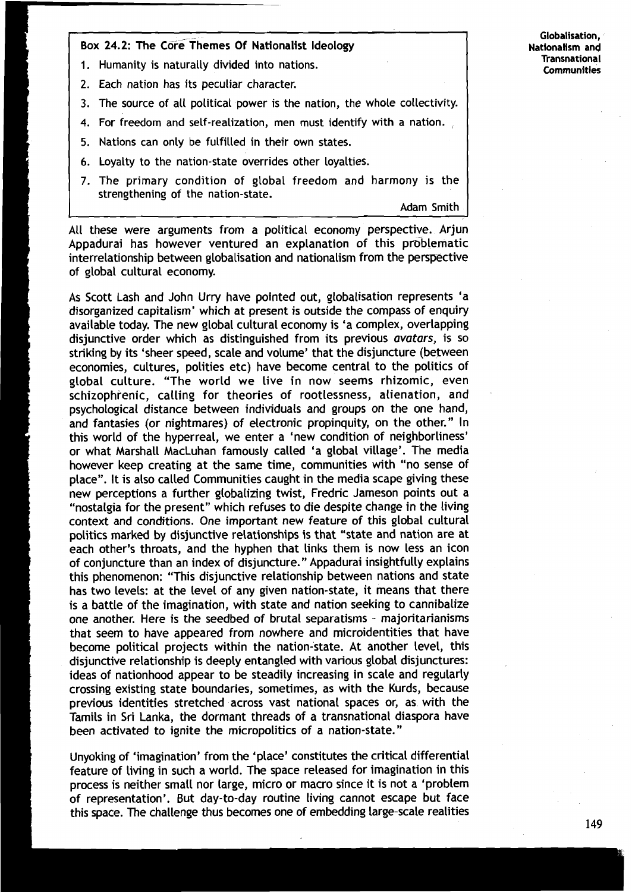Box 24.2: The Core Themes Of Nationalist Ideology

- 1. Humanity is naturally divided into nations.
- 2. Each nation has its peculiar character.
- 3. The source of all political power is the nation, the whole collectivity.
- 4. For freedom and self-realization, men must identify with a nation.
- 5. Nations can only be fulfilled in their own states.
- 6. Loyalty to the nation-state overrides other loyalties.
- 7. The primary condition of global freedom and harmony is the strengthening of the nation-state.

Adam Smith

All these were arguments from a political economy perspective. Arjun Appadurai has however ventured an explanation of this problematic interrelationship between globalisation and nationalism from the perspective of global cultural economy.

As Scott Lash and John Urry have pointed out, globalisation represents 'a disorganized capitalism' which at present is outside the compass of enquiry available today. The new global cultural economy is 'a complex, overlapping disjunctive order which as distinguished from its previous avatars, is so striking by its 'sheer speed, scale and volume' that the disjuncture (between economies, cultures, polities etc) have become central to the politics of global culture. "The world we live in now seems rhizomic, even schizophrenic, calling for theories of rootlessness, alienation, and psychological distance between individuals and groups on the one hand, and fantasies (or nightmares) of electronic propinquity, on the other." In this world of the hyperreal, we enter a 'new condition of neighborliness' or what Marshall MacLuhan famously called 'a global village'. 'The media however keep creating at the same time, communities with "no sense of place". It is also called Communities caught in the media scape giving these new perceptions a further globalizing twist, Fredric Jameson points out a "nostalgia for the present" which refuses to die despite change in the living context and conditions. One important new feature of this global cultural politics marked by disjunctive relationships is that "state and nation are at each other's throats, and the hyphen that links them is now less an icon of conjuncture than an index of disjuncture." Appadurai insightfully explains this phenomenon: "This disjunctive relationship between nations and state has two levels: at the level of any given nation-state, it means that there is a battle of the imagination, with state and nation seeking to cannibalize one another. Here is the seedbed of brutal separatisms - majoritarianisms that seem to have appeared from nowhere and microidentities that have become political projects within the nation-state. At another level, this disjunctive relationship is deeply entangled with various global disjunctures: ideas of nationhood appear to be steadily increasing in scale and regularly crossing existing state boundaries, sometimes, as with the Kurds, because previous identities stretched across vast national spaces or, as with the Tamils in Sri Lanka, the dormant threads of a transnational diaspora have been activated to ignite the micropolitics of a nation-state."

Unyoking of 'imagination' from the 'place' constitutes the critical differential feature of living in such a world. The space released for imagination in this process is neither small nor large, micro or macro since it is not a 'problem of representation'. But day-to-day routine living cannot escape but face this space. The challenge thus becomes one of embedding large-scale realities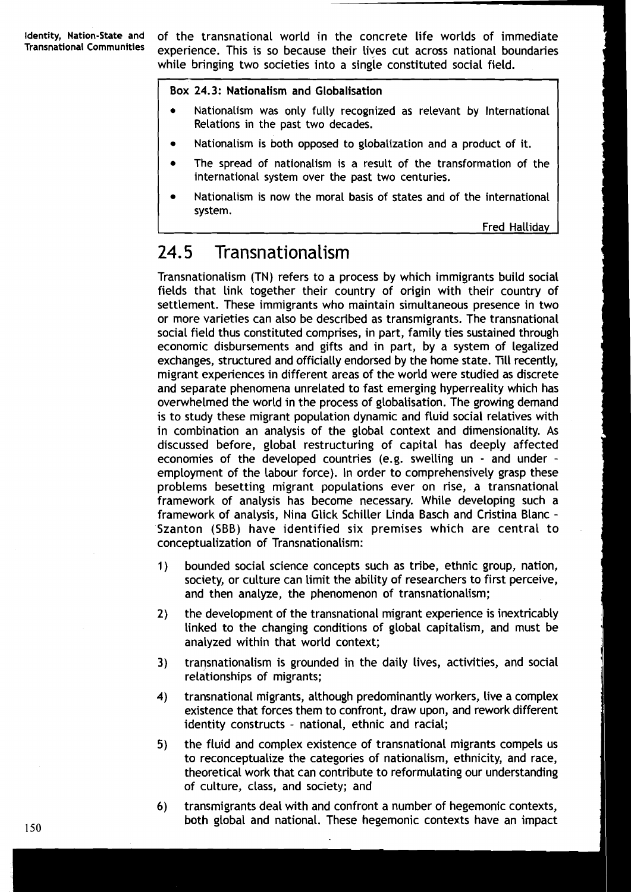**Identity, Nation-State and** of the transnational world in the concrete life worlds of immediate experience. This is so because their lives cut across national boundaries while bringing two societies into a single constituted social field.

#### Box 24.3: Nationalism and Globalisation

- Nationalism was only fully recognized as relevant by International Relations in the past two decades.
- Nationalism is both opposed to globalization and a product of it.
- The spread of nationalism is a result of the transformation of the international system over the past two centuries.
- Nationalism is now the moral basis of states and of the international system.

Fred Halliday

## 24.5 Transnationalism

Transnationalism (TN) refers to a process by which immigrants build social fields that link together their country of origin with their country of settlement. 'These immigrants who maintain simultaneous presence in two or more varieties can also be described as transmigrants. The transnational social field thus constituted comprises, in part, family ties sustained through economic disbursements and gifts and in part, by a system of legalized exchanges, structured and officially endorsed by the home state. Till recently, migrant experiences in different areas of the world were studied as discrete and separate phenomena unrelated to fast emerging hyperreality which has overwhelmed the world in the process of globalisation. The growing demand is to study these migrant population dynamic and fluid social relatives with in combination an analysis of the global context and dimensionality. As discussed before, global restructuring of capital has deeply affected economies of the developed countries (e.g. swelling un - and under employment of the labour force). In order to comprehensively grasp these problems besetting migrant populations ever on rise, a transnational framework of analysis has become necessary. While developing such a framework of analysis, Nina Glick Schiller Linda Basch and Cristina Blanc - Szanton (SBB) have identified six premises which are central to conceptualization of Transnationalism:

- 1) bounded social science concepts such as tribe, ethnic group, nation, society, or culture can limit the ability of researchers to first perceive, and then analyze, the phenomenon of transnationalism;
- **2)** the development of the transnational migrant experience is inextricably linked to the changing conditions of global capitalism, and must be analyzed within that world context;
- **3)** transnationalism is grounded in the daily lives, activities, and social relationships of migrants;
- 4) transnational migrants, although predominantly workers, live a complex existence that forces them to confront, draw upon, and rework different identity constructs - national, ethnic and racial;
- **5)** the fluid and complex existence of transnational migrants compels us to reconceptualize the categories of nationalism, ethnicity, and race, theoretical work that can contribute to reformulating our understanding of culture, class, and society; and
- **6)** transmigrants deal with and confront a number of hegemonic contexts, **150** both global and national. These hegemonic contexts have an impact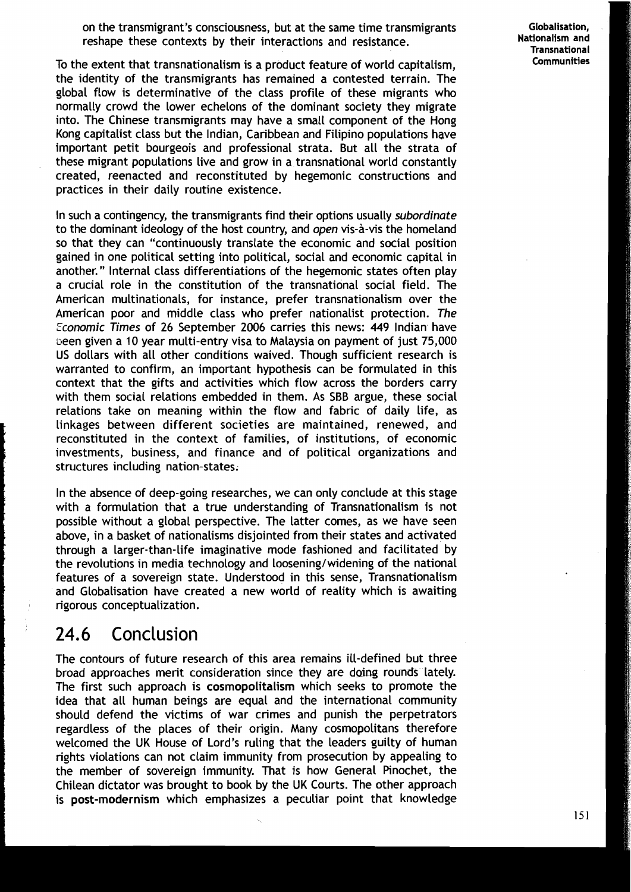on the transmigrant's consciousness, but at the same time transmigrants reshape these contexts by their interactions and resistance.

Globalisation, **Transnational** 

To the extent that transnationalism is a product feature of world capitalism, **Communities**  the identity of the transmigrants has remained a contested terrain. The global flow is determinative of the class profile of these migrants who normally crowd the lower echelons of the dominant society they migrate into. The Chinese transmigrants may have a small component of the Hong Kong capitalist class but the Indian, Caribbean and Filipino populations have important petit bourgeois and professional strata. But all the strata of these migrant populations live and grow in a transnational world constantly created, reenacted and reconstituted by hegemonic constructions and practices in their daily routine existence.

In such a contingency, the transmigrants find their options usually **subordinate**  to the dominant ideology of the host country, and **open** vis-a-vis the homeland so that they can "continuously translate the economic and social position gained in one political setting into political, social and economic capital in another." Internal class differentiations of the hegemonic states often play a crucial role in the constitution of the transnational social field. The American multinationals, for instance, prefer transnationalism over the American poor and middle class who prefer nationalist protection. **The Zconomic Times** of 26 September 2006 carries this news: 449 Indian have been given a 10 year multi-entry visa to Malaysia on payment of just 75,000 US dollars with all other conditions waived. Though sufficient research is warranted to confirm, an important hypothesis can be formulated in this context that the gifts and activities which flow across the borders carry with them social relations embedded in them. As SBB argue, these social relations take on meaning within the flow and fabric of daily Life, as linkages between different societies are maintained, renewed, and reconstituted in the context of families, of institutions, of economic investments, business, and finance and of political organizations and structures including nation-states.

In the absence of deep-going researches, we can only conclude at this stage with a formulation that a true understanding of Transnationalism is not possible without a global perspective. The Latter comes, as we have seen above, in a basket of nationalisms disjointed from their states and activated through a larger-than-life imaginative mode fashioned and facilitated by the revolutions in media technology and loosening/widening of the national features of a sovereign state. Understood in this sense, Transnationalism and Globalisation have created a new world of reality which is awaiting rigorous conceptualization.

## 24.6 Conclusion

The contours of future research of this area remains ill-defined but three broad approaches merit consideration since they are doing rounds lately. The first such approach is cosmopolitalism which seeks to promote the idea that all human beings are equal and the international community should defend the victims of war crimes and punish the perpetrators regardless of the places of their origin. Many cosmopolitans therefore welcomed the UK House of Lord's ruling that the leaders guilty of human rights violations can not claim immunity from prosecution by appealing to the member of sovereign immunity. That is how General Pinochet, the Chilean dictator was brought to book by the UK Courts. The other approach is **post-modernism** which emphasizes a peculiar point that knowledge is post-modernism which emphasizes a peculiar<br>
state of that that that that the world of the solid that the which emphasize is post-modernized that the s